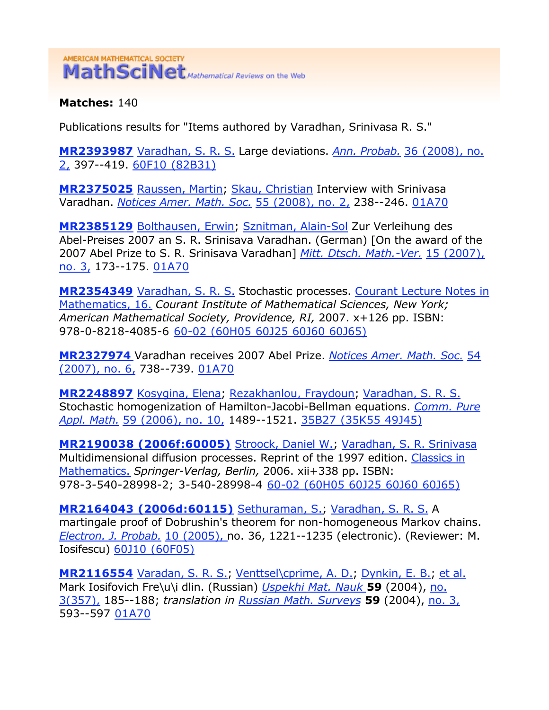## AMERICAN MATHEMATICAL SOCIETY MathSciNet Mathematical Reviews on the Web

**Matches:** 140

Publications results for "Items authored by Varadhan, Srinivasa R. S."

**MR2393987** Varadhan, S. R. S. Large deviations. *Ann. Probab.* 36 (2008), no. 2, 397--419. 60F10 (82B31)

**MR2375025** Raussen, Martin; Skau, Christian Interview with Srinivasa Varadhan. *Notices Amer. Math. Soc.* 55 (2008), no. 2, 238--246. 01A70

**MR2385129** Bolthausen, Erwin; Sznitman, Alain-Sol Zur Verleihung des Abel-Preises 2007 an S. R. Srinisava Varadhan. (German) [On the award of the 2007 Abel Prize to S. R. Srinisava Varadhan] *Mitt. Dtsch. Math.-Ver.* 15 (2007), no. 3, 173--175. 01A70

**MR2354349** Varadhan, S. R. S. Stochastic processes. Courant Lecture Notes in Mathematics, 16. *Courant Institute of Mathematical Sciences, New York; American Mathematical Society, Providence, RI,* 2007. x+126 pp. ISBN: 978-0-8218-4085-6 60-02 (60H05 60J25 60J60 60J65)

**MR2327974** Varadhan receives 2007 Abel Prize. *Notices Amer. Math. Soc.* 54 (2007), no. 6, 738--739. 01A70

**MR2248897** Kosygina, Elena; Rezakhanlou, Fraydoun; Varadhan, S. R. S. Stochastic homogenization of Hamilton-Jacobi-Bellman equations. *Comm. Pure Appl. Math.* 59 (2006), no. 10, 1489--1521. 35B27 (35K55 49J45)

**MR2190038 (2006f:60005)** Stroock, Daniel W.; Varadhan, S. R. Srinivasa Multidimensional diffusion processes. Reprint of the 1997 edition. Classics in Mathematics. *Springer-Verlag, Berlin,* 2006. xii+338 pp. ISBN: 978-3-540-28998-2; 3-540-28998-4 60-02 (60H05 60J25 60J60 60J65)

**MR2164043 (2006d:60115)** Sethuraman, S.; Varadhan, S. R. S. A martingale proof of Dobrushin's theorem for non-homogeneous Markov chains. *Electron. J. Probab.* 10 (2005), no. 36, 1221--1235 (electronic). (Reviewer: M. Iosifescu) 60J10 (60F05)

**MR2116554** Varadan, S. R. S.; Venttsel\cprime, A. D.; Dynkin, E. B.; et al. Mark Iosifovich Fre\u\i dlin. (Russian) *Uspekhi Mat. Nauk* **59** (2004), no. 3(357), 185--188; *translation in Russian Math. Surveys* **59** (2004), no. 3, 593--597 01A70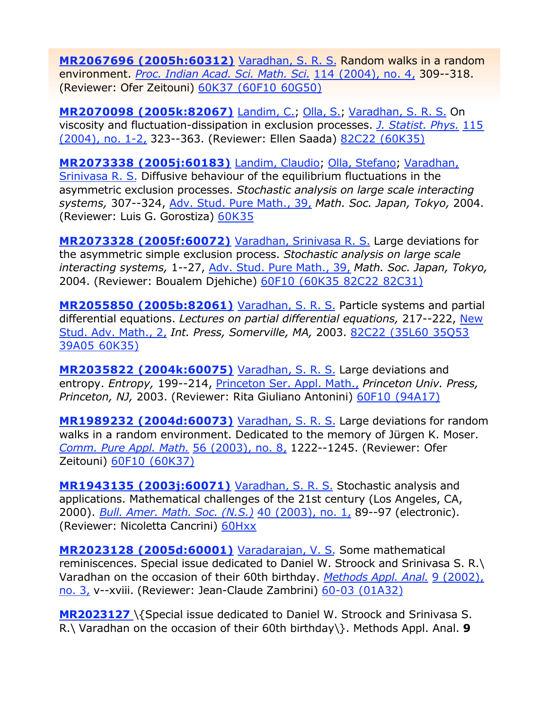**MR2067696 (2005h:60312)** Varadhan, S. R. S. Random walks in a random environment. *Proc. Indian Acad. Sci. Math. Sci.* 114 (2004), no. 4, 309--318. (Reviewer: Ofer Zeitouni) 60K37 (60F10 60G50)

**MR2070098 (2005k:82067)** Landim, C.; Olla, S.; Varadhan, S. R. S. On viscosity and fluctuation-dissipation in exclusion processes. *J. Statist. Phys.* 115 (2004), no. 1-2, 323--363. (Reviewer: Ellen Saada) 82C22 (60K35)

**MR2073338 (2005j:60183)** Landim, Claudio; Olla, Stefano; Varadhan, Srinivasa R. S. Diffusive behaviour of the equilibrium fluctuations in the asymmetric exclusion processes. *Stochastic analysis on large scale interacting systems,* 307--324, Adv. Stud. Pure Math., 39, *Math. Soc. Japan, Tokyo,* 2004. (Reviewer: Luis G. Gorostiza) 60K35

**MR2073328 (2005f:60072)** Varadhan, Srinivasa R. S. Large deviations for the asymmetric simple exclusion process. *Stochastic analysis on large scale interacting systems,* 1--27, Adv. Stud. Pure Math., 39, *Math. Soc. Japan, Tokyo,* 2004. (Reviewer: Boualem Djehiche) 60F10 (60K35 82C22 82C31)

**MR2055850 (2005b:82061)** Varadhan, S. R. S. Particle systems and partial differential equations. *Lectures on partial differential equations,* 217--222, New Stud. Adv. Math., 2, *Int. Press, Somerville, MA,* 2003. 82C22 (35L60 35Q53 39A05 60K35)

**MR2035822 (2004k:60075)** Varadhan, S. R. S. Large deviations and entropy. *Entropy,* 199--214, Princeton Ser. Appl. Math., *Princeton Univ. Press, Princeton, NJ,* 2003. (Reviewer: Rita Giuliano Antonini) 60F10 (94A17)

**MR1989232 (2004d:60073)** Varadhan, S. R. S. Large deviations for random walks in a random environment. Dedicated to the memory of Jürgen K. Moser. *Comm. Pure Appl. Math.* 56 (2003), no. 8, 1222--1245. (Reviewer: Ofer Zeitouni) 60F10 (60K37)

**MR1943135 (2003j:60071)** Varadhan, S. R. S. Stochastic analysis and applications. Mathematical challenges of the 21st century (Los Angeles, CA, 2000). *Bull. Amer. Math. Soc. (N.S.)* 40 (2003), no. 1, 89--97 (electronic). (Reviewer: Nicoletta Cancrini) 60Hxx

**MR2023128 (2005d:60001)** Varadarajan, V. S. Some mathematical reminiscences. Special issue dedicated to Daniel W. Stroock and Srinivasa S. R.\ Varadhan on the occasion of their 60th birthday. *Methods Appl. Anal.* 9 (2002), no. 3, v--xviii. (Reviewer: Jean-Claude Zambrini) 60-03 (01A32)

**MR2023127** \{Special issue dedicated to Daniel W. Stroock and Srinivasa S. R.\ Varadhan on the occasion of their 60th birthday\}. Methods Appl. Anal. **9**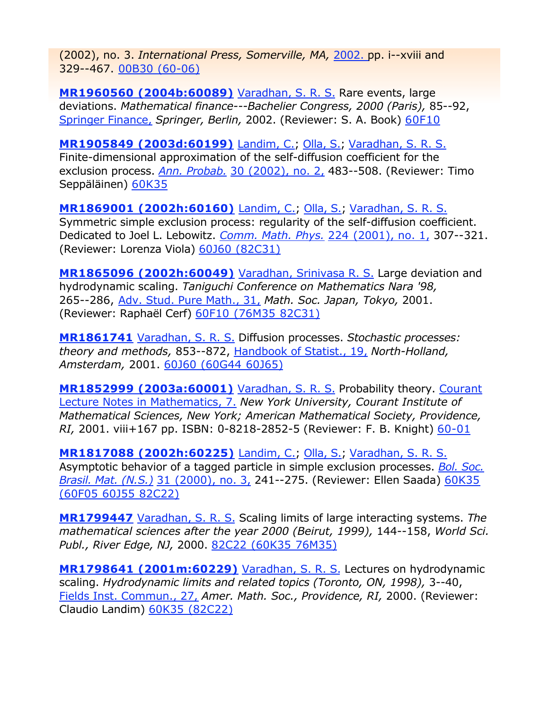(2002), no. 3. *International Press, Somerville, MA,* 2002. pp. i--xviii and 329--467. 00B30 (60-06)

**MR1960560 (2004b:60089)** Varadhan, S. R. S. Rare events, large deviations. *Mathematical finance---Bachelier Congress, 2000 (Paris),* 85--92, Springer Finance, *Springer, Berlin,* 2002. (Reviewer: S. A. Book) 60F10

**MR1905849 (2003d:60199)** Landim, C.; Olla, S.; Varadhan, S. R. S. Finite-dimensional approximation of the self-diffusion coefficient for the exclusion process. *Ann. Probab.* 30 (2002), no. 2, 483--508. (Reviewer: Timo Seppäläinen) 60K35

**MR1869001 (2002h:60160)** Landim, C.; Olla, S.; Varadhan, S. R. S. Symmetric simple exclusion process: regularity of the self-diffusion coefficient. Dedicated to Joel L. Lebowitz. *Comm. Math. Phys.* 224 (2001), no. 1, 307--321. (Reviewer: Lorenza Viola) 60J60 (82C31)

**MR1865096 (2002h:60049)** Varadhan, Srinivasa R. S. Large deviation and hydrodynamic scaling. *Taniguchi Conference on Mathematics Nara '98,*  265--286, Adv. Stud. Pure Math., 31, *Math. Soc. Japan, Tokyo,* 2001. (Reviewer: Raphaël Cerf) 60F10 (76M35 82C31)

**MR1861741** Varadhan, S. R. S. Diffusion processes. *Stochastic processes: theory and methods,* 853--872, Handbook of Statist., 19, *North-Holland, Amsterdam,* 2001. 60J60 (60G44 60J65)

**MR1852999 (2003a:60001)** Varadhan, S. R. S. Probability theory. Courant Lecture Notes in Mathematics, 7. *New York University, Courant Institute of Mathematical Sciences, New York; American Mathematical Society, Providence, RI,* 2001. viii+167 pp. ISBN: 0-8218-2852-5 (Reviewer: F. B. Knight) 60-01

**MR1817088 (2002h:60225)** Landim, C.; Olla, S.; Varadhan, S. R. S. Asymptotic behavior of a tagged particle in simple exclusion processes. *Bol. Soc. Brasil. Mat. (N.S.)* 31 (2000), no. 3, 241--275. (Reviewer: Ellen Saada) 60K35 (60F05 60J55 82C22)

**MR1799447** Varadhan, S. R. S. Scaling limits of large interacting systems. *The mathematical sciences after the year 2000 (Beirut, 1999),* 144--158, *World Sci. Publ., River Edge, NJ,* 2000. 82C22 (60K35 76M35)

**MR1798641 (2001m:60229)** Varadhan, S. R. S. Lectures on hydrodynamic scaling. *Hydrodynamic limits and related topics (Toronto, ON, 1998),* 3--40, Fields Inst. Commun., 27, *Amer. Math. Soc., Providence, RI,* 2000. (Reviewer: Claudio Landim) 60K35 (82C22)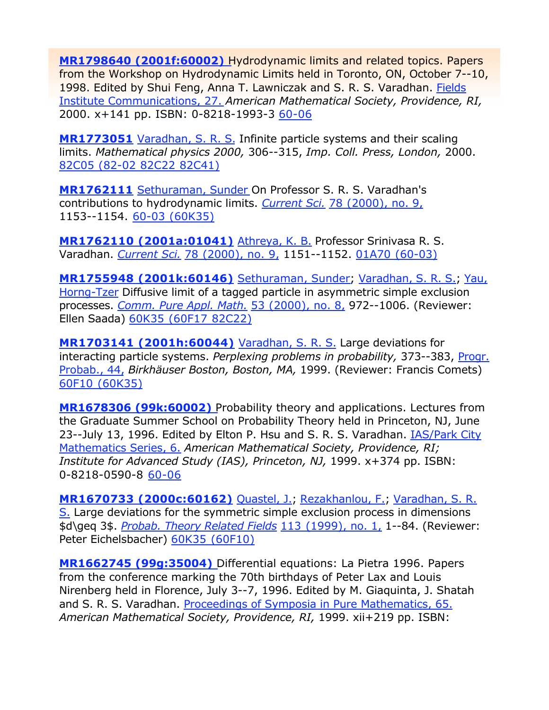**MR1798640 (2001f:60002)** Hydrodynamic limits and related topics. Papers from the Workshop on Hydrodynamic Limits held in Toronto, ON, October 7--10, 1998. Edited by Shui Feng, Anna T. Lawniczak and S. R. S. Varadhan. Fields Institute Communications, 27. *American Mathematical Society, Providence, RI,* 2000. x+141 pp. ISBN: 0-8218-1993-3 60-06

**MR1773051** Varadhan, S. R. S. Infinite particle systems and their scaling limits. *Mathematical physics 2000,* 306--315, *Imp. Coll. Press, London,* 2000. 82C05 (82-02 82C22 82C41)

**MR1762111** Sethuraman, Sunder On Professor S. R. S. Varadhan's contributions to hydrodynamic limits. *Current Sci.* 78 (2000), no. 9, 1153--1154. 60-03 (60K35)

**MR1762110 (2001a:01041)** Athreya, K. B. Professor Srinivasa R. S. Varadhan. *Current Sci.* 78 (2000), no. 9, 1151--1152. 01A70 (60-03)

**MR1755948 (2001k:60146)** Sethuraman, Sunder; Varadhan, S. R. S.; Yau, Horng-Tzer Diffusive limit of a tagged particle in asymmetric simple exclusion processes. *Comm. Pure Appl. Math.* 53 (2000), no. 8, 972--1006. (Reviewer: Ellen Saada) 60K35 (60F17 82C22)

**MR1703141 (2001h:60044)** Varadhan, S. R. S. Large deviations for interacting particle systems. *Perplexing problems in probability,* 373--383, Progr. Probab., 44, *Birkhäuser Boston, Boston, MA,* 1999. (Reviewer: Francis Comets) 60F10 (60K35)

**MR1678306 (99k:60002)** Probability theory and applications. Lectures from the Graduate Summer School on Probability Theory held in Princeton, NJ, June 23--July 13, 1996. Edited by Elton P. Hsu and S. R. S. Varadhan. IAS/Park City Mathematics Series, 6. *American Mathematical Society, Providence, RI; Institute for Advanced Study (IAS), Princeton, NJ,* 1999. x+374 pp. ISBN: 0-8218-0590-8 60-06

**MR1670733 (2000c:60162)** Quastel, J.; Rezakhanlou, F.; Varadhan, S. R. S. Large deviations for the symmetric simple exclusion process in dimensions \$d\geq 3\$. *Probab. Theory Related Fields* 113 (1999), no. 1, 1--84. (Reviewer: Peter Eichelsbacher) 60K35 (60F10)

**MR1662745 (99g:35004)** Differential equations: La Pietra 1996. Papers from the conference marking the 70th birthdays of Peter Lax and Louis Nirenberg held in Florence, July 3--7, 1996. Edited by M. Giaquinta, J. Shatah and S. R. S. Varadhan. Proceedings of Symposia in Pure Mathematics, 65. *American Mathematical Society, Providence, RI,* 1999. xii+219 pp. ISBN: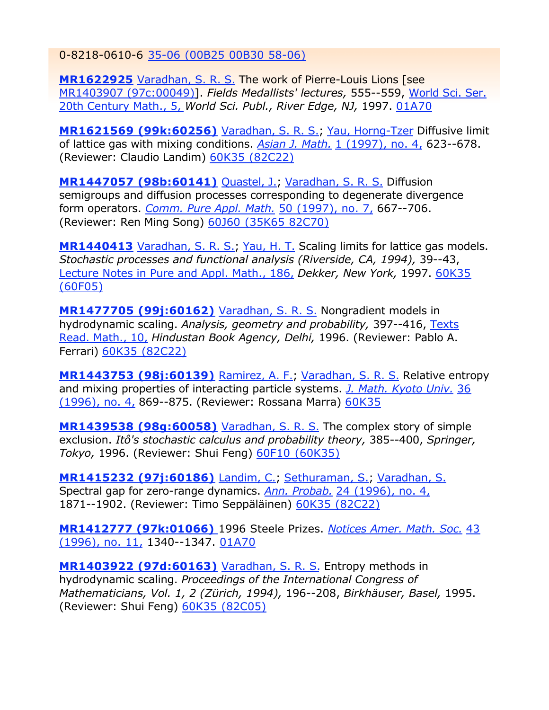0-8218-0610-6 35-06 (00B25 00B30 58-06)

**MR1622925** Varadhan, S. R. S. The work of Pierre-Louis Lions [see MR1403907 (97c:00049)]. *Fields Medallists' lectures,* 555--559, World Sci. Ser. 20th Century Math., 5, *World Sci. Publ., River Edge, NJ,* 1997. 01A70

**MR1621569 (99k:60256)** Varadhan, S. R. S.; Yau, Horng-Tzer Diffusive limit of lattice gas with mixing conditions. *Asian J. Math.* 1 (1997), no. 4, 623--678. (Reviewer: Claudio Landim) 60K35 (82C22)

**MR1447057 (98b:60141)** Quastel, J.; Varadhan, S. R. S. Diffusion semigroups and diffusion processes corresponding to degenerate divergence form operators. *Comm. Pure Appl. Math.* 50 (1997), no. 7, 667--706. (Reviewer: Ren Ming Song) 60J60 (35K65 82C70)

**MR1440413** Varadhan, S. R. S., Yau, H. T. Scaling limits for lattice gas models. *Stochastic processes and functional analysis (Riverside, CA, 1994),* 39--43, Lecture Notes in Pure and Appl. Math., 186, *Dekker, New York,* 1997. 60K35 (60F05)

**MR1477705 (99j:60162)** Varadhan, S. R. S. Nongradient models in hydrodynamic scaling. *Analysis, geometry and probability,* 397--416, Texts Read. Math., 10, *Hindustan Book Agency, Delhi,* 1996. (Reviewer: Pablo A. Ferrari) 60K35 (82C22)

**MR1443753 (98j:60139)** Ramirez, A. F.; Varadhan, S. R. S. Relative entropy and mixing properties of interacting particle systems. *J. Math. Kyoto Univ.* 36 (1996), no. 4, 869--875. (Reviewer: Rossana Marra) 60K35

**MR1439538 (98g:60058)** Varadhan, S. R. S. The complex story of simple exclusion. *Itô's stochastic calculus and probability theory,* 385--400, *Springer, Tokyo,* 1996. (Reviewer: Shui Feng) 60F10 (60K35)

**MR1415232 (97j:60186)** Landim, C.; Sethuraman, S.; Varadhan, S. Spectral gap for zero-range dynamics. *Ann. Probab.* 24 (1996), no. 4, 1871--1902. (Reviewer: Timo Seppäläinen) 60K35 (82C22)

**MR1412777 (97k:01066)** 1996 Steele Prizes. *Notices Amer. Math. Soc.* 43 (1996), no. 11, 1340--1347. 01A70

**MR1403922 (97d:60163)** Varadhan, S. R. S. Entropy methods in hydrodynamic scaling. *Proceedings of the International Congress of Mathematicians, Vol. 1, 2 (Zürich, 1994),* 196--208, *Birkhäuser, Basel,* 1995. (Reviewer: Shui Feng) 60K35 (82C05)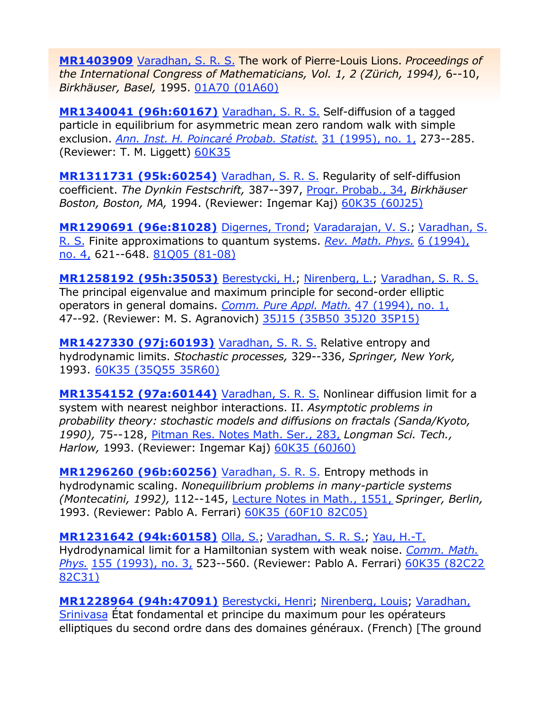**MR1403909** Varadhan, S. R. S. The work of Pierre-Louis Lions. *Proceedings of the International Congress of Mathematicians, Vol. 1, 2 (Zürich, 1994),* 6--10, *Birkhäuser, Basel,* 1995. 01A70 (01A60)

**MR1340041 (96h:60167)** Varadhan, S. R. S. Self-diffusion of a tagged particle in equilibrium for asymmetric mean zero random walk with simple exclusion. *Ann. Inst. H. Poincaré Probab. Statist.* 31 (1995), no. 1, 273--285. (Reviewer: T. M. Liggett) 60K35

**MR1311731 (95k:60254)** Varadhan, S. R. S. Regularity of self-diffusion coefficient. *The Dynkin Festschrift,* 387--397, Progr. Probab., 34, *Birkhäuser Boston, Boston, MA,* 1994. (Reviewer: Ingemar Kaj) 60K35 (60J25)

**MR1290691 (96e:81028)** Digernes, Trond; Varadarajan, V. S.; Varadhan, S. R. S. Finite approximations to quantum systems. *Rev. Math. Phys.* 6 (1994), no. 4, 621--648. 81Q05 (81-08)

**MR1258192 (95h:35053)** Berestycki, H.; Nirenberg, L.; Varadhan, S. R. S. The principal eigenvalue and maximum principle for second-order elliptic operators in general domains. *Comm. Pure Appl. Math.* 47 (1994), no. 1, 47--92. (Reviewer: M. S. Agranovich) 35J15 (35B50 35J20 35P15)

**MR1427330 (97j:60193)** Varadhan, S. R. S. Relative entropy and hydrodynamic limits. *Stochastic processes,* 329--336, *Springer, New York,* 1993. 60K35 (35Q55 35R60)

**MR1354152 (97a:60144)** Varadhan, S. R. S. Nonlinear diffusion limit for a system with nearest neighbor interactions. II. *Asymptotic problems in probability theory: stochastic models and diffusions on fractals (Sanda/Kyoto, 1990),* 75--128, Pitman Res. Notes Math. Ser., 283, *Longman Sci. Tech., Harlow,* 1993. (Reviewer: Ingemar Kaj) 60K35 (60J60)

**MR1296260 (96b:60256)** Varadhan, S. R. S. Entropy methods in hydrodynamic scaling. *Nonequilibrium problems in many-particle systems (Montecatini, 1992),* 112--145, Lecture Notes in Math., 1551, *Springer, Berlin,* 1993. (Reviewer: Pablo A. Ferrari) 60K35 (60F10 82C05)

**MR1231642 (94k:60158)** Olla, S.; Varadhan, S. R. S.; Yau, H.-T. Hydrodynamical limit for a Hamiltonian system with weak noise. *Comm. Math. Phys.* 155 (1993), no. 3, 523--560. (Reviewer: Pablo A. Ferrari) 60K35 (82C22 82C31)

**MR1228964 (94h:47091)** Berestycki, Henri; Nirenberg, Louis; Varadhan, Srinivasa État fondamental et principe du maximum pour les opérateurs elliptiques du second ordre dans des domaines généraux. (French) [The ground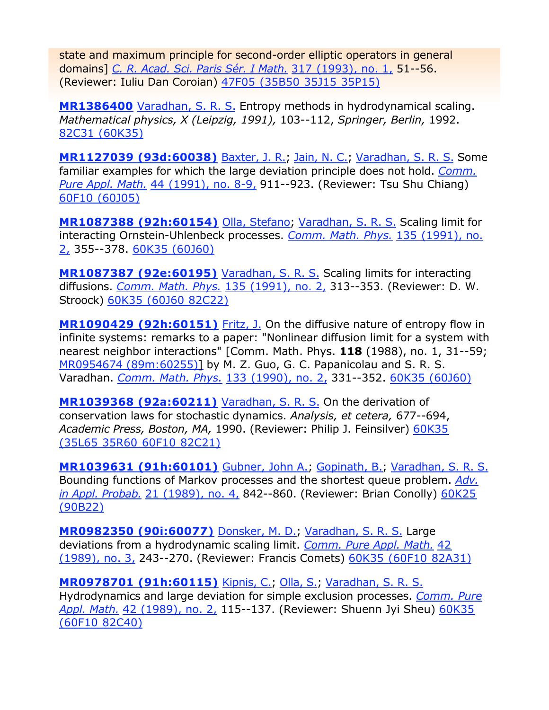state and maximum principle for second-order elliptic operators in general domains] *C. R. Acad. Sci. Paris Sér. I Math.* 317 (1993), no. 1, 51--56. (Reviewer: Iuliu Dan Coroian) 47F05 (35B50 35J15 35P15)

**MR1386400** Varadhan, S. R. S. Entropy methods in hydrodynamical scaling. *Mathematical physics, X (Leipzig, 1991),* 103--112, *Springer, Berlin,* 1992. 82C31 (60K35)

**MR1127039 (93d:60038)** Baxter, J. R.; Jain, N. C.; Varadhan, S. R. S. Some familiar examples for which the large deviation principle does not hold. *Comm. Pure Appl. Math.* 44 (1991), no. 8-9, 911--923. (Reviewer: Tsu Shu Chiang) 60F10 (60J05)

**MR1087388 (92h:60154)** Olla, Stefano; Varadhan, S. R. S. Scaling limit for interacting Ornstein-Uhlenbeck processes. *Comm. Math. Phys.* 135 (1991), no. 2, 355--378. 60K35 (60J60)

**MR1087387 (92e:60195)** Varadhan, S. R. S. Scaling limits for interacting diffusions. *Comm. Math. Phys.* 135 (1991), no. 2, 313--353. (Reviewer: D. W. Stroock) 60K35 (60J60 82C22)

**MR1090429 (92h:60151)** Fritz, J. On the diffusive nature of entropy flow in infinite systems: remarks to a paper: "Nonlinear diffusion limit for a system with nearest neighbor interactions" [Comm. Math. Phys. **118** (1988), no. 1, 31--59; MR0954674 (89m:60255)] by M. Z. Guo, G. C. Papanicolau and S. R. S. Varadhan. *Comm. Math. Phys.* 133 (1990), no. 2, 331--352. 60K35 (60J60)

**MR1039368 (92a:60211)** Varadhan, S. R. S. On the derivation of conservation laws for stochastic dynamics. *Analysis, et cetera,* 677--694, *Academic Press, Boston, MA,* 1990. (Reviewer: Philip J. Feinsilver) 60K35 (35L65 35R60 60F10 82C21)

**MR1039631 (91h:60101)** Gubner, John A.; Gopinath, B.; Varadhan, S. R. S. Bounding functions of Markov processes and the shortest queue problem. *Adv. in Appl. Probab.* 21 (1989), no. 4, 842--860. (Reviewer: Brian Conolly) 60K25 (90B22)

**MR0982350 (90i:60077)** Donsker, M. D.; Varadhan, S. R. S. Large deviations from a hydrodynamic scaling limit. *Comm. Pure Appl. Math.* 42 (1989), no. 3, 243--270. (Reviewer: Francis Comets) 60K35 (60F10 82A31)

**MR0978701 (91h:60115)** Kipnis, C.; Olla, S.; Varadhan, S. R. S. Hydrodynamics and large deviation for simple exclusion processes. *Comm. Pure Appl. Math.* 42 (1989), no. 2, 115--137. (Reviewer: Shuenn Jyi Sheu) 60K35 (60F10 82C40)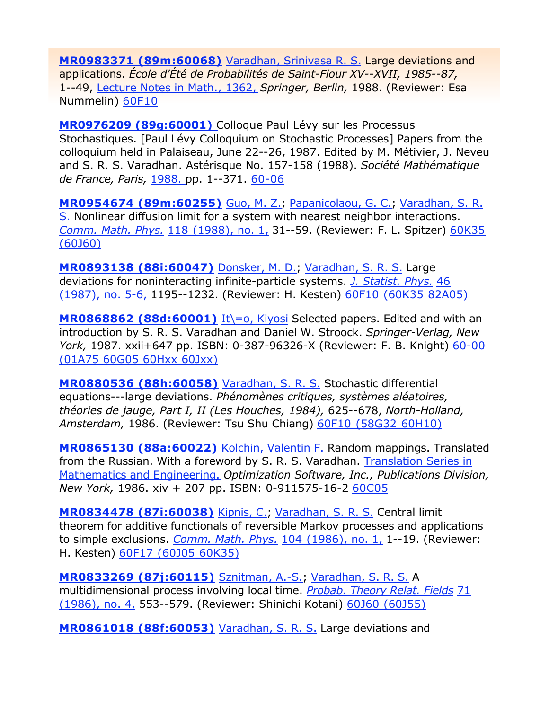**MR0983371 (89m:60068)** Varadhan, Srinivasa R. S. Large deviations and applications. *École d'Été de Probabilités de Saint-Flour XV--XVII, 1985--87,* 1--49, Lecture Notes in Math., 1362, *Springer, Berlin,* 1988. (Reviewer: Esa Nummelin) 60F10

**MR0976209 (89g:60001)** Colloque Paul Lévy sur les Processus Stochastiques. [Paul Lévy Colloquium on Stochastic Processes] Papers from the colloquium held in Palaiseau, June 22--26, 1987. Edited by M. Métivier, J. Neveu and S. R. S. Varadhan. Astérisque No. 157-158 (1988). *Société Mathématique de France, Paris,* 1988. pp. 1--371. 60-06

**MR0954674 (89m:60255)** Guo, M. Z.; Papanicolaou, G. C.; Varadhan, S. R. S. Nonlinear diffusion limit for a system with nearest neighbor interactions. *Comm. Math. Phys.* 118 (1988), no. 1, 31--59. (Reviewer: F. L. Spitzer) 60K35 (60J60)

**MR0893138 (88i:60047)** Donsker, M. D.; Varadhan, S. R. S. Large deviations for noninteracting infinite-particle systems. *J. Statist. Phys.* 46 (1987), no. 5-6, 1195--1232. (Reviewer: H. Kesten) 60F10 (60K35 82A05)

**MR0868862 (88d:60001)** It\=o, Kiyosi Selected papers. Edited and with an introduction by S. R. S. Varadhan and Daniel W. Stroock. *Springer-Verlag, New York,* 1987. xxii+647 pp. ISBN: 0-387-96326-X (Reviewer: F. B. Knight) 60-00 (01A75 60G05 60Hxx 60Jxx)

**MR0880536 (88h:60058)** Varadhan, S. R. S. Stochastic differential equations---large deviations. *Phénomènes critiques, systèmes aléatoires, théories de jauge, Part I, II (Les Houches, 1984),* 625--678, *North-Holland, Amsterdam,* 1986. (Reviewer: Tsu Shu Chiang) 60F10 (58G32 60H10)

**MR0865130 (88a:60022)** Kolchin, Valentin F. Random mappings. Translated from the Russian. With a foreword by S. R. S. Varadhan. Translation Series in Mathematics and Engineering. *Optimization Software, Inc., Publications Division, New York,* 1986. xiv + 207 pp. ISBN: 0-911575-16-2 60C05

**MR0834478 (87i:60038)** Kipnis, C.; Varadhan, S. R. S. Central limit theorem for additive functionals of reversible Markov processes and applications to simple exclusions. *Comm. Math. Phys.* 104 (1986), no. 1, 1--19. (Reviewer: H. Kesten) 60F17 (60J05 60K35)

**MR0833269 (87j:60115)** Sznitman, A.-S.; Varadhan, S. R. S. A multidimensional process involving local time. *Probab. Theory Relat. Fields* 71 (1986), no. 4, 553--579. (Reviewer: Shinichi Kotani) 60J60 (60J55)

**MR0861018 (88f:60053)** Varadhan, S. R. S. Large deviations and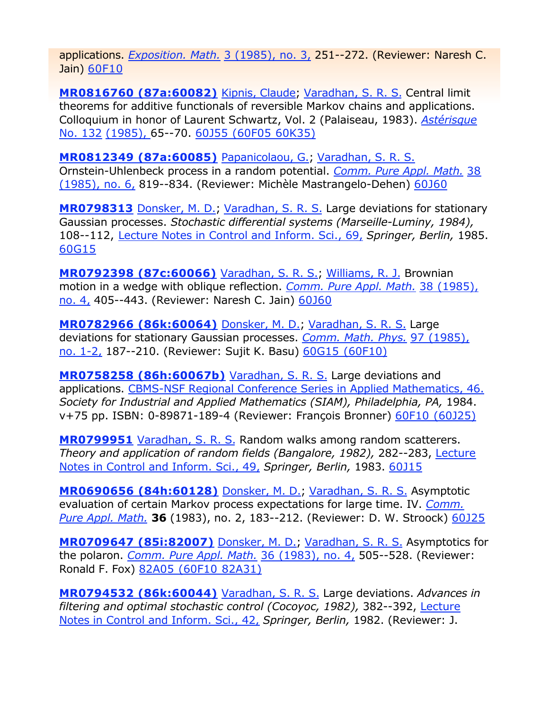applications. *Exposition. Math.* 3 (1985), no. 3, 251--272. (Reviewer: Naresh C. Jain) 60F10

**MR0816760 (87a:60082)** Kipnis, Claude; Varadhan, S. R. S. Central limit theorems for additive functionals of reversible Markov chains and applications. Colloquium in honor of Laurent Schwartz, Vol. 2 (Palaiseau, 1983). *Astérisque* No. 132 (1985), 65--70. 60J55 (60F05 60K35)

**MR0812349 (87a:60085)** Papanicolaou, G.; Varadhan, S. R. S. Ornstein-Uhlenbeck process in a random potential. *Comm. Pure Appl. Math.* 38 (1985), no. 6, 819--834. (Reviewer: Michèle Mastrangelo-Dehen) 60J60

**MR0798313** Donsker, M. D.; Varadhan, S. R. S. Large deviations for stationary Gaussian processes. *Stochastic differential systems (Marseille-Luminy, 1984),*  108--112, Lecture Notes in Control and Inform. Sci., 69, *Springer, Berlin,* 1985. 60G15

**MR0792398 (87c:60066)** Varadhan, S. R. S.; Williams, R. J. Brownian motion in a wedge with oblique reflection. *Comm. Pure Appl. Math.* 38 (1985), no. 4, 405--443. (Reviewer: Naresh C. Jain) 60J60

**MR0782966 (86k:60064)** Donsker, M. D.; Varadhan, S. R. S. Large deviations for stationary Gaussian processes. *Comm. Math. Phys.* 97 (1985), no. 1-2, 187--210. (Reviewer: Sujit K. Basu) 60G15 (60F10)

**MR0758258 (86h:60067b)** Varadhan, S. R. S. Large deviations and applications. CBMS-NSF Regional Conference Series in Applied Mathematics, 46. *Society for Industrial and Applied Mathematics (SIAM), Philadelphia, PA,* 1984. v+75 pp. ISBN: 0-89871-189-4 (Reviewer: François Bronner) 60F10 (60J25)

**MR0799951** Varadhan, S. R. S. Random walks among random scatterers. *Theory and application of random fields (Bangalore, 1982),* 282--283, Lecture Notes in Control and Inform. Sci., 49, *Springer, Berlin,* 1983. 60J15

**MR0690656 (84h:60128)** Donsker, M. D.; Varadhan, S. R. S. Asymptotic evaluation of certain Markov process expectations for large time. IV. *Comm. Pure Appl. Math.* **36** (1983), no. 2, 183--212. (Reviewer: D. W. Stroock) 60J25

**MR0709647 (85i:82007)** Donsker, M. D.; Varadhan, S. R. S. Asymptotics for the polaron. *Comm. Pure Appl. Math.* 36 (1983), no. 4, 505--528. (Reviewer: Ronald F. Fox) 82A05 (60F10 82A31)

**MR0794532 (86k:60044)** Varadhan, S. R. S. Large deviations. *Advances in filtering and optimal stochastic control (Cocoyoc, 1982),* 382--392, Lecture Notes in Control and Inform. Sci., 42, *Springer, Berlin,* 1982. (Reviewer: J.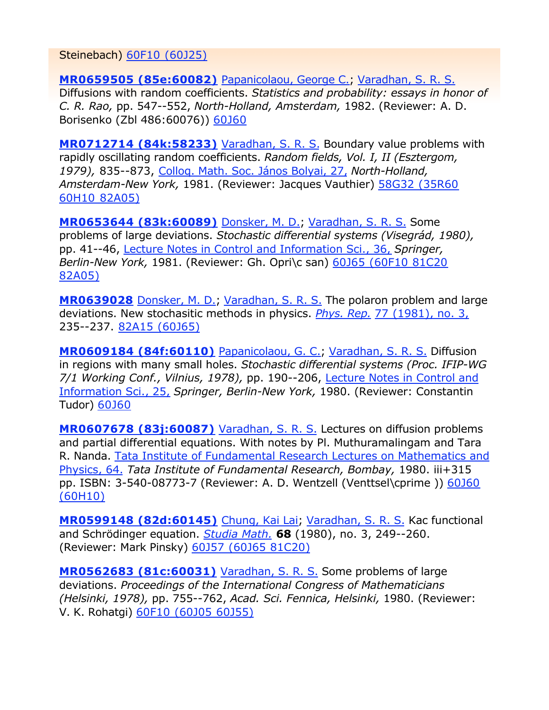Steinebach) 60F10 (60J25)

**MR0659505 (85e:60082)** Papanicolaou, George C.; Varadhan, S. R. S. Diffusions with random coefficients. *Statistics and probability: essays in honor of C. R. Rao,* pp. 547--552, *North-Holland, Amsterdam,* 1982. (Reviewer: A. D. Borisenko (Zbl 486:60076)) 60J60

**MR0712714 (84k:58233)** Varadhan, S. R. S. Boundary value problems with rapidly oscillating random coefficients. *Random fields, Vol. I, II (Esztergom, 1979),* 835--873, Colloq. Math. Soc. János Bolyai, 27, *North-Holland, Amsterdam-New York,* 1981. (Reviewer: Jacques Vauthier) 58G32 (35R60 60H10 82A05)

**MR0653644 (83k:60089)** Donsker, M. D.; Varadhan, S. R. S. Some problems of large deviations. *Stochastic differential systems (Visegrád, 1980),* pp. 41--46, Lecture Notes in Control and Information Sci., 36, *Springer, Berlin-New York,* 1981. (Reviewer: Gh. Opri\c san) 60J65 (60F10 81C20 82A05)

**MR0639028** Donsker, M. D.; Varadhan, S. R. S. The polaron problem and large deviations. New stochasitic methods in physics. *Phys. Rep.* 77 (1981), no. 3, 235--237. 82A15 (60J65)

**MR0609184 (84f:60110)** Papanicolaou, G. C.; Varadhan, S. R. S. Diffusion in regions with many small holes. *Stochastic differential systems (Proc. IFIP-WG 7/1 Working Conf., Vilnius, 1978),* pp. 190--206, Lecture Notes in Control and Information Sci., 25, *Springer, Berlin-New York,* 1980. (Reviewer: Constantin Tudor) 60J60

**MR0607678 (83j:60087)** Varadhan, S. R. S. Lectures on diffusion problems and partial differential equations. With notes by Pl. Muthuramalingam and Tara R. Nanda. Tata Institute of Fundamental Research Lectures on Mathematics and Physics, 64. *Tata Institute of Fundamental Research, Bombay,* 1980. iii+315 pp. ISBN: 3-540-08773-7 (Reviewer: A. D. Wentzell (Venttsel\cprime )) 60J60 (60H10)

**MR0599148 (82d:60145)** Chung, Kai Lai; Varadhan, S. R. S. Kac functional and Schrödinger equation. *Studia Math.* **68** (1980), no. 3, 249--260. (Reviewer: Mark Pinsky) 60J57 (60J65 81C20)

**MR0562683 (81c:60031)** Varadhan, S. R. S. Some problems of large deviations. *Proceedings of the International Congress of Mathematicians (Helsinki, 1978),* pp. 755--762, *Acad. Sci. Fennica, Helsinki,* 1980. (Reviewer: V. K. Rohatgi) 60F10 (60J05 60J55)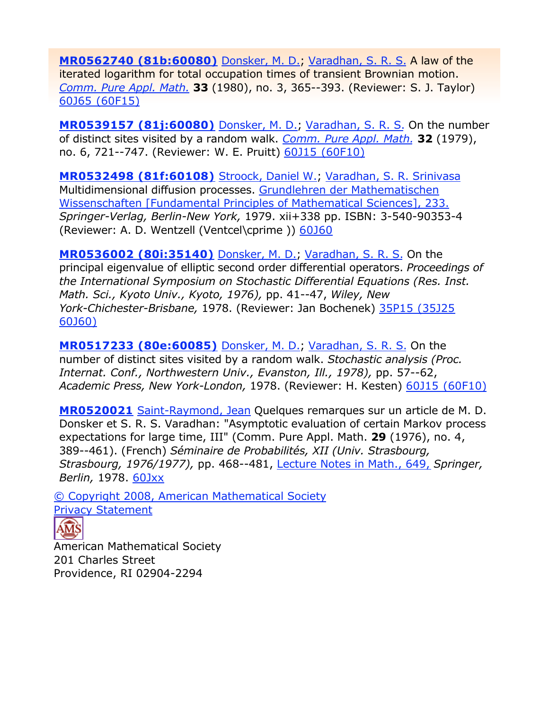**MR0562740 (81b:60080)** Donsker, M. D.; Varadhan, S. R. S. A law of the iterated logarithm for total occupation times of transient Brownian motion. *Comm. Pure Appl. Math.* **33** (1980), no. 3, 365--393. (Reviewer: S. J. Taylor) 60J65 (60F15)

**MR0539157 (81j:60080)** Donsker, M. D.; Varadhan, S. R. S. On the number of distinct sites visited by a random walk. *Comm. Pure Appl. Math.* **32** (1979), no. 6, 721--747. (Reviewer: W. E. Pruitt) 60J15 (60F10)

**MR0532498 (81f:60108)** Stroock, Daniel W.; Varadhan, S. R. Srinivasa Multidimensional diffusion processes. Grundlehren der Mathematischen Wissenschaften [Fundamental Principles of Mathematical Sciences], 233. *Springer-Verlag, Berlin-New York,* 1979. xii+338 pp. ISBN: 3-540-90353-4 (Reviewer: A. D. Wentzell (Ventcel\cprime )) 60J60

**MR0536002 (80i:35140)** Donsker, M. D.; Varadhan, S. R. S. On the principal eigenvalue of elliptic second order differential operators. *Proceedings of the International Symposium on Stochastic Differential Equations (Res. Inst. Math. Sci., Kyoto Univ., Kyoto, 1976),* pp. 41--47, *Wiley, New York-Chichester-Brisbane,* 1978. (Reviewer: Jan Bochenek) 35P15 (35J25 60J60)

**MR0517233 (80e:60085)** Donsker, M. D.; Varadhan, S. R. S. On the number of distinct sites visited by a random walk. *Stochastic analysis (Proc. Internat. Conf., Northwestern Univ., Evanston, Ill., 1978),* pp. 57--62, *Academic Press, New York-London,* 1978. (Reviewer: H. Kesten) 60J15 (60F10)

**MR0520021** Saint-Raymond, Jean Quelques remarques sur un article de M. D. Donsker et S. R. S. Varadhan: "Asymptotic evaluation of certain Markov process expectations for large time, III" (Comm. Pure Appl. Math. **29** (1976), no. 4, 389--461). (French) *Séminaire de Probabilités, XII (Univ. Strasbourg, Strasbourg, 1976/1977),* pp. 468--481, Lecture Notes in Math., 649, *Springer, Berlin,* 1978. 60Jxx

© Copyright 2008, American Mathematical Society Privacy Statement



American Mathematical Society 201 Charles Street Providence, RI 02904-2294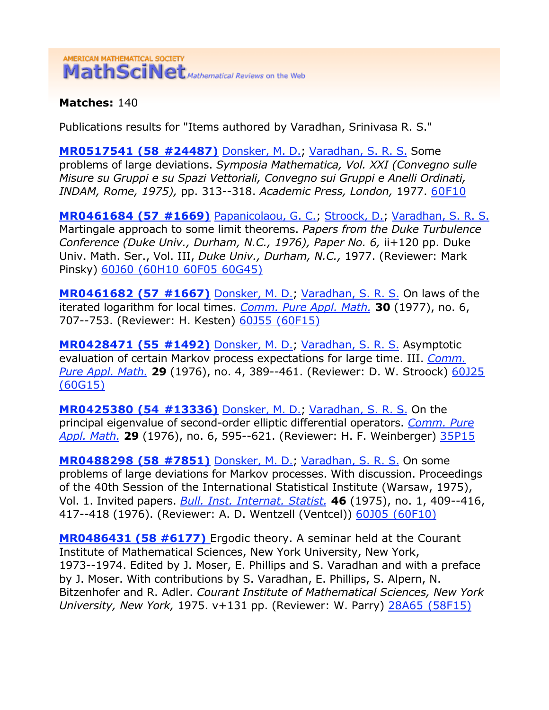## AMERICAN MATHEMATICAL SOCIETY MathSciNet Mathematical Reviews on the Web

**Matches:** 140

Publications results for "Items authored by Varadhan, Srinivasa R. S."

**MR0517541 (58 #24487)** Donsker, M. D.; Varadhan, S. R. S. Some problems of large deviations. *Symposia Mathematica, Vol. XXI (Convegno sulle Misure su Gruppi e su Spazi Vettoriali, Convegno sui Gruppi e Anelli Ordinati, INDAM, Rome, 1975),* pp. 313--318. *Academic Press, London,* 1977. 60F10

**MR0461684 (57 #1669)** Papanicolaou, G. C.; Stroock, D.; Varadhan, S. R. S. Martingale approach to some limit theorems. *Papers from the Duke Turbulence Conference (Duke Univ., Durham, N.C., 1976), Paper No. 6,* ii+120 pp. Duke Univ. Math. Ser., Vol. III, *Duke Univ., Durham, N.C.,* 1977. (Reviewer: Mark Pinsky) 60J60 (60H10 60F05 60G45)

**MR0461682 (57 #1667)** Donsker, M. D.; Varadhan, S. R. S. On laws of the iterated logarithm for local times. *Comm. Pure Appl. Math.* **30** (1977), no. 6, 707--753. (Reviewer: H. Kesten) 60J55 (60F15)

**MR0428471 (55 #1492)** Donsker, M. D.; Varadhan, S. R. S. Asymptotic evaluation of certain Markov process expectations for large time. III. *Comm. Pure Appl. Math.* **29** (1976), no. 4, 389--461. (Reviewer: D. W. Stroock) 60J25 (60G15)

**MR0425380 (54 #13336)** Donsker, M. D.; Varadhan, S. R. S. On the principal eigenvalue of second-order elliptic differential operators. *Comm. Pure Appl. Math.* **29** (1976), no. 6, 595--621. (Reviewer: H. F. Weinberger) 35P15

**MR0488298 (58 #7851)** Donsker, M. D.; Varadhan, S. R. S. On some problems of large deviations for Markov processes. With discussion. Proceedings of the 40th Session of the International Statistical Institute (Warsaw, 1975), Vol. 1. Invited papers. *Bull. Inst. Internat. Statist.* **46** (1975), no. 1, 409--416, 417--418 (1976). (Reviewer: A. D. Wentzell (Ventcel)) 60J05 (60F10)

**MR0486431 (58 #6177)** Ergodic theory. A seminar held at the Courant Institute of Mathematical Sciences, New York University, New York, 1973--1974. Edited by J. Moser, E. Phillips and S. Varadhan and with a preface by J. Moser. With contributions by S. Varadhan, E. Phillips, S. Alpern, N. Bitzenhofer and R. Adler. *Courant Institute of Mathematical Sciences, New York University, New York,* 1975. v+131 pp. (Reviewer: W. Parry) 28A65 (58F15)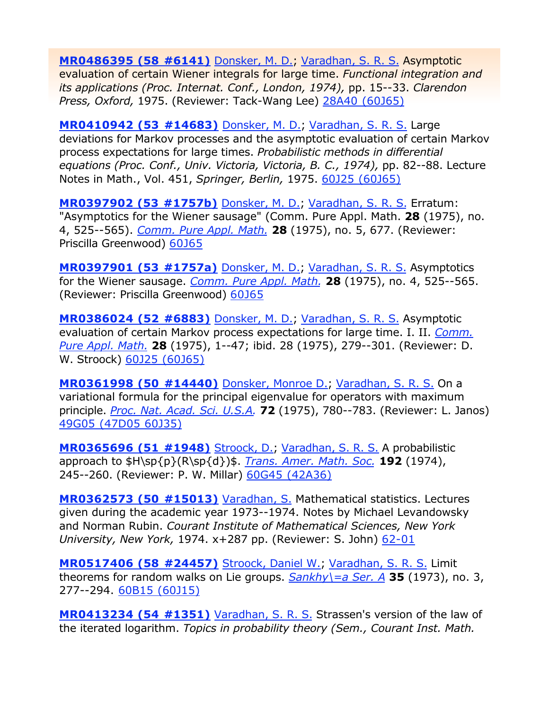**MR0486395 (58 #6141)** Donsker, M. D.; Varadhan, S. R. S. Asymptotic evaluation of certain Wiener integrals for large time. *Functional integration and its applications (Proc. Internat. Conf., London, 1974),* pp. 15--33. *Clarendon Press, Oxford,* 1975. (Reviewer: Tack-Wang Lee) 28A40 (60J65)

**MR0410942 (53 #14683)** Donsker, M. D.; Varadhan, S. R. S. Large deviations for Markov processes and the asymptotic evaluation of certain Markov process expectations for large times. *Probabilistic methods in differential equations (Proc. Conf., Univ. Victoria, Victoria, B. C., 1974),* pp. 82--88. Lecture Notes in Math., Vol. 451, *Springer, Berlin,* 1975. 60J25 (60J65)

**MR0397902 (53 #1757b)** Donsker, M. D.; Varadhan, S. R. S. Erratum: "Asymptotics for the Wiener sausage" (Comm. Pure Appl. Math. **28** (1975), no. 4, 525--565). *Comm. Pure Appl. Math.* **28** (1975), no. 5, 677. (Reviewer: Priscilla Greenwood) 60J65

**MR0397901 (53 #1757a)** Donsker, M. D.; Varadhan, S. R. S. Asymptotics for the Wiener sausage. *Comm. Pure Appl. Math.* **28** (1975), no. 4, 525--565. (Reviewer: Priscilla Greenwood) 60J65

**MR0386024 (52 #6883)** Donsker, M. D.; Varadhan, S. R. S. Asymptotic evaluation of certain Markov process expectations for large time. I. II. *Comm. Pure Appl. Math.* **28** (1975), 1--47; ibid. 28 (1975), 279--301. (Reviewer: D. W. Stroock) 60J25 (60J65)

**MR0361998 (50 #14440)** Donsker, Monroe D.; Varadhan, S. R. S. On a variational formula for the principal eigenvalue for operators with maximum principle. *Proc. Nat. Acad. Sci. U.S.A.* **72** (1975), 780--783. (Reviewer: L. Janos) 49G05 (47D05 60J35)

**MR0365696 (51 #1948)** Stroock, D.; Varadhan, S. R. S. A probabilistic approach to \$H\sp{p}(R\sp{d})\$. *Trans. Amer. Math. Soc.* **192** (1974), 245--260. (Reviewer: P. W. Millar) 60G45 (42A36)

**MR0362573 (50 #15013)** Varadhan, S. Mathematical statistics. Lectures given during the academic year 1973--1974. Notes by Michael Levandowsky and Norman Rubin. *Courant Institute of Mathematical Sciences, New York University, New York,* 1974. x+287 pp. (Reviewer: S. John) 62-01

**MR0517406 (58 #24457)** Stroock, Daniel W.; Varadhan, S. R. S. Limit theorems for random walks on Lie groups. *Sankhy\=a Ser. A* **35** (1973), no. 3, 277--294. 60B15 (60J15)

**MR0413234 (54 #1351)** Varadhan, S. R. S. Strassen's version of the law of the iterated logarithm. *Topics in probability theory (Sem., Courant Inst. Math.*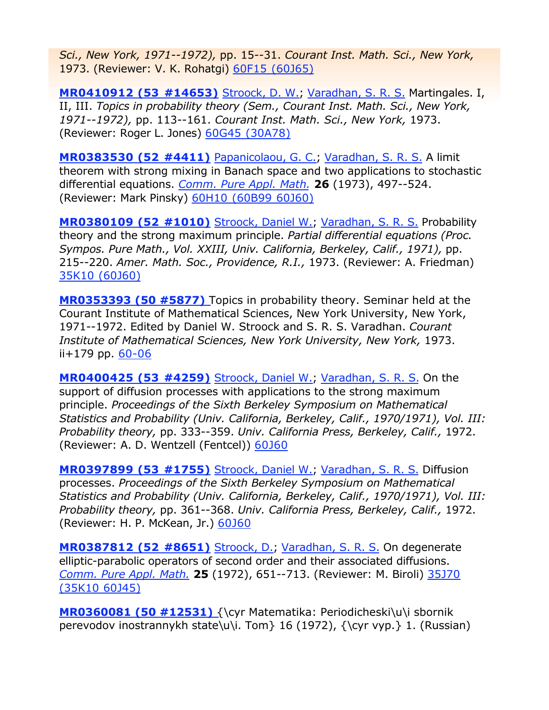*Sci., New York, 1971--1972),* pp. 15--31. *Courant Inst. Math. Sci., New York,* 1973. (Reviewer: V. K. Rohatgi) 60F15 (60J65)

**MR0410912 (53 #14653)** Stroock, D. W.; Varadhan, S. R. S. Martingales. I, II, III. *Topics in probability theory (Sem., Courant Inst. Math. Sci., New York, 1971--1972),* pp. 113--161. *Courant Inst. Math. Sci., New York,* 1973. (Reviewer: Roger L. Jones) 60G45 (30A78)

**MR0383530 (52 #4411)** Papanicolaou, G. C.; Varadhan, S. R. S. A limit theorem with strong mixing in Banach space and two applications to stochastic differential equations. *Comm. Pure Appl. Math.* **26** (1973), 497--524. (Reviewer: Mark Pinsky) 60H10 (60B99 60J60)

**MR0380109 (52 #1010)** Stroock, Daniel W.; Varadhan, S. R. S. Probability theory and the strong maximum principle. *Partial differential equations (Proc. Sympos. Pure Math., Vol. XXIII, Univ. California, Berkeley, Calif., 1971),* pp. 215--220. *Amer. Math. Soc., Providence, R.I.,* 1973. (Reviewer: A. Friedman) 35K10 (60J60)

**MR0353393 (50 #5877)** Topics in probability theory. Seminar held at the Courant Institute of Mathematical Sciences, New York University, New York, 1971--1972. Edited by Daniel W. Stroock and S. R. S. Varadhan. *Courant Institute of Mathematical Sciences, New York University, New York,* 1973. ii+179 pp. 60-06

**MR0400425 (53 #4259)** Stroock, Daniel W.; Varadhan, S. R. S. On the support of diffusion processes with applications to the strong maximum principle. *Proceedings of the Sixth Berkeley Symposium on Mathematical Statistics and Probability (Univ. California, Berkeley, Calif., 1970/1971), Vol. III: Probability theory,* pp. 333--359. *Univ. California Press, Berkeley, Calif.,* 1972. (Reviewer: A. D. Wentzell (Fentcel)) 60J60

**MR0397899 (53 #1755)** Stroock, Daniel W.; Varadhan, S. R. S. Diffusion processes. *Proceedings of the Sixth Berkeley Symposium on Mathematical Statistics and Probability (Univ. California, Berkeley, Calif., 1970/1971), Vol. III: Probability theory,* pp. 361--368. *Univ. California Press, Berkeley, Calif.,* 1972. (Reviewer: H. P. McKean, Jr.) 60J60

**MR0387812 (52 #8651)** Stroock, D.; Varadhan, S. R. S. On degenerate elliptic-parabolic operators of second order and their associated diffusions. *Comm. Pure Appl. Math.* **25** (1972), 651--713. (Reviewer: M. Biroli) 35J70 (35K10 60J45)

**MR0360081 (50 #12531)** {\cyr Matematika: Periodicheski\u\i sbornik perevodov inostrannykh state\u\i. Tom} 16 (1972), {\cyr vyp.} 1. (Russian)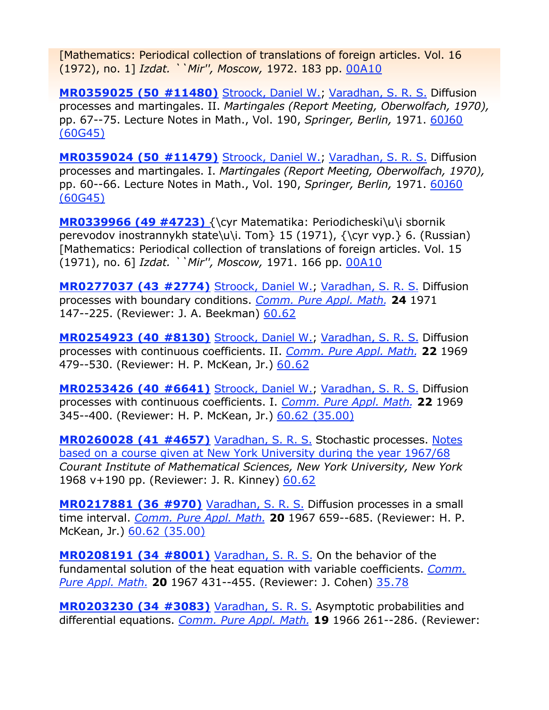[Mathematics: Periodical collection of translations of foreign articles. Vol. 16 (1972), no. 1] *Izdat. ``Mir'', Moscow,* 1972. 183 pp. 00A10

**MR0359025 (50 #11480)** Stroock, Daniel W.; Varadhan, S. R. S. Diffusion processes and martingales. II. *Martingales (Report Meeting, Oberwolfach, 1970),*  pp. 67--75. Lecture Notes in Math., Vol. 190, *Springer, Berlin,* 1971. 60J60 (60G45)

**MR0359024 (50 #11479)** Stroock, Daniel W.; Varadhan, S. R. S. Diffusion processes and martingales. I. *Martingales (Report Meeting, Oberwolfach, 1970),*  pp. 60--66. Lecture Notes in Math., Vol. 190, *Springer, Berlin,* 1971. 60J60 (60G45)

**MR0339966 (49 #4723)** {\cyr Matematika: Periodicheski\u\i sbornik perevodov inostrannykh state\u\i. Tom  $\ 15 (1971)$ ,  $\\cyr vyp.$  6. (Russian) [Mathematics: Periodical collection of translations of foreign articles. Vol. 15 (1971), no. 6] *Izdat. ``Mir'', Moscow,* 1971. 166 pp. 00A10

**MR0277037 (43 #2774)** Stroock, Daniel W.; Varadhan, S. R. S. Diffusion processes with boundary conditions. *Comm. Pure Appl. Math.* **24** 1971 147--225. (Reviewer: J. A. Beekman) 60.62

**MR0254923 (40 #8130)** Stroock, Daniel W.; Varadhan, S. R. S. Diffusion processes with continuous coefficients. II. *Comm. Pure Appl. Math.* **22** 1969 479--530. (Reviewer: H. P. McKean, Jr.) 60.62

**MR0253426 (40 #6641)** Stroock, Daniel W.; Varadhan, S. R. S. Diffusion processes with continuous coefficients. I. *Comm. Pure Appl. Math.* **22** 1969 345--400. (Reviewer: H. P. McKean, Jr.) 60.62 (35.00)

**MR0260028 (41 #4657)** Varadhan, S. R. S. Stochastic processes. Notes based on a course given at New York University during the year 1967/68 *Courant Institute of Mathematical Sciences, New York University, New York* 1968 v+190 pp. (Reviewer: J. R. Kinney) 60.62

**MR0217881 (36 #970)** Varadhan, S. R. S. Diffusion processes in a small time interval. *Comm. Pure Appl. Math.* **20** 1967 659--685. (Reviewer: H. P. McKean, Jr.) 60.62 (35.00)

**MR0208191 (34 #8001)** Varadhan, S. R. S. On the behavior of the fundamental solution of the heat equation with variable coefficients. *Comm. Pure Appl. Math.* **20** 1967 431--455. (Reviewer: J. Cohen) 35.78

**MR0203230 (34 #3083)** Varadhan, S. R. S. Asymptotic probabilities and differential equations. *Comm. Pure Appl. Math.* **19** 1966 261--286. (Reviewer: